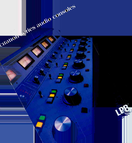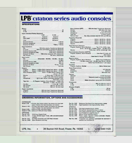# LPB<sup>®</sup> citation series audio consoles

## **SPECIFICATIONS**

| Mixers:<br>$C-10S$                         |      |           |
|--------------------------------------------|------|-----------|
| <b>Inputs (Standard Factory Equipped):</b> |      |           |
|                                            | C-8S | $C-10S$   |
|                                            |      | 6 Stereo  |
| High Level 18 Stereo                       |      | 24 Stereo |
| Total 24 Stereo                            |      | 30 Stereo |
|                                            |      |           |
|                                            |      |           |
|                                            |      |           |

| Input Impedance: |                                                        |
|------------------|--------------------------------------------------------|
|                  | Mic 150 ohms source, Transformer Balanced              |
|                  | Hi-Level  600 ohms terminating, Transformer Balanced   |
|                  | External Monitor (AIR)  4700 ohms, unbalanced          |
|                  | External Headphone (AIR)  4700 ohms, unbalanced        |
|                  | External VU Meter  100k ohms, balanced, 47k unbalanced |
|                  |                                                        |
| Innut Levels:    |                                                        |

| $11091$ by $1010$ |                                                                                                                                                                                                                                                                                                 |
|-------------------|-------------------------------------------------------------------------------------------------------------------------------------------------------------------------------------------------------------------------------------------------------------------------------------------------|
|                   | Mic $\ldots$ Selectable: -45 dBm, -55 dBm, -65 dBm                                                                                                                                                                                                                                              |
| Outputs:          |                                                                                                                                                                                                                                                                                                 |
|                   | Program  Stereo + 8 dBm (OVU) clipping level above + 22 dBm<br>Audition $\ldots$ Stereo + 8 dBm (OVU) clipping level above + 22 dBm<br>Mono Mixdown (OPT)  Mono + 8 dBm (OVU) clipping level<br>above $+22$ dBm<br>Headphone  1 @ 1/2 watt, Stereo, switchable between PGM,<br>AUD, EXT, or Cue |
|                   | Tape Out  3: Program, Audition, Mono Mixdown, -6 dBm into                                                                                                                                                                                                                                       |
|                   | 600 ohms, +1 dBm, 10k ohm load                                                                                                                                                                                                                                                                  |
|                   | Mic Process  300 mV, 10k ohm load                                                                                                                                                                                                                                                               |
| Output Impedance: |                                                                                                                                                                                                                                                                                                 |
|                   | Program  600 ohm load, Transformer Balanced<br>Audition  600 ohm load, Transformer Balanced                                                                                                                                                                                                     |

| Mono Mixdown (OPT)  600 ohm load, Transformer Balanced   |  |
|----------------------------------------------------------|--|
|                                                          |  |
|                                                          |  |
|                                                          |  |
| Remote Start  Dry relay contacts rated 24 VDC and 200 ma |  |
|                                                          |  |
| Frequency Response:                                      |  |
| Program  Within 1 dB 20 Hz-20 kHz                        |  |
| Audition  Within 1 dB 20 Hz-20 kHz                       |  |
| Mono Mixdown (OPT)  Within 1 dB 20 Hz-20 kHz             |  |
| Monitor  Within 1 dB 20 Hz-20 kHz                        |  |
| <b>Total Harmonic Distortion:</b>                        |  |
| Program, Audition, Mono Mixdown  Typ. 0.1%, 0.25%, max., |  |
| 20 Hz-20 kHz $@ + 18$ dBm output, $-55$ dBm input        |  |
|                                                          |  |
| Intermodulation Distortion (SMPTE):                      |  |
| Program, Audition, Mono Mixdown  Less than 0.1% @ +22    |  |
| dBm output                                               |  |
| Monitor Less than 0.11% @ 1 volt output                  |  |
|                                                          |  |
| Signal to Noise:                                         |  |
| Program, Audition, Mono Mixdown  Better than 74 dB below |  |
| +18 dBm output with -50 dBm input 20 Hz-20 kHz           |  |
| Monitor  Better than 65 dB below 1 volt output           |  |
| Crosstalk:                                               |  |
| Program, Audition, Monitor  Below Noise Level            |  |
|                                                          |  |
|                                                          |  |
| <b>Power Requirements:</b>                               |  |
|                                                          |  |
|                                                          |  |
|                                                          |  |
| Cabinet:                                                 |  |
|                                                          |  |
| Finish Textured scratch resistant Armorhide              |  |
|                                                          |  |
| Finish Matte Armorhide, epoxy paint silk screened        |  |
| Dimensions:                                              |  |
|                                                          |  |
|                                                          |  |
| <b>Shipping Weights:</b>                                 |  |
|                                                          |  |
|                                                          |  |

# ORDERING INFORMATION, OPTIONS AND ACCESSORIES

**CONSOLES** 

| Model C-8S -8 mixer, dual stereo output, two stereo mic input pre-<br>amps, 6 stereo line input preamps, two meters                                                                                                     | Part No. CHO<br>Part No. CHZ                                  | Reference Oscillator/Line input preamp, stereo<br>High Impedance Line input preamp, stereo                                    |
|-------------------------------------------------------------------------------------------------------------------------------------------------------------------------------------------------------------------------|---------------------------------------------------------------|-------------------------------------------------------------------------------------------------------------------------------|
| Model C-10S -10 mixer, dual stereo output, two stereo mic input pre-<br>amps, 8 stereo line input preamps, two meters<br>Model C-8SL -same as C-8S, with linear faders<br>Model C-10SL—same as C-10S with linear faders | <b>SPARES</b><br>Part No. CHL<br>Part No. CMP<br>Part No. CLA | Line input preamp plug-in, stereo<br>Microphone input preamp plug-in, stereo<br>Line output amplifier plug-in, single channel |
| <b>OPTIONS</b>                                                                                                                                                                                                          | Part No. CQH                                                  | Cue/Headphone amplifier plug-in                                                                                               |
| 12/24 hour Digital Clock<br>Part No. CCL                                                                                                                                                                                | Part No. CMA                                                  | Monitor driver amplifier plug-in                                                                                              |
| 4 digit (99:59) Digital Timer, with cumulative/event<br>Part No. CTI<br>selector                                                                                                                                        | Part No. CPR                                                  | Power supply regulator module (includes chassis-<br>mounted semiconductors)                                                   |
| VU Meter Assembly with LED Peak indicator<br>Part No. CVU                                                                                                                                                               | Part No. CAS                                                  | 11 position aux switches substituted for standard 4                                                                           |
| Mono Mixdown Line Amp<br>Part No. CMM                                                                                                                                                                                   |                                                               | position aux switches (2)                                                                                                     |

LPB, Inc. • 28 Bacton Hill Road, Frazer, Pa. 19355 • (215) 644-1123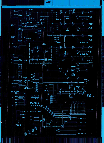

b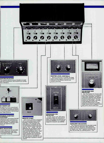

## 1ONITOR SELECTOR

The monitor selector group includes an aural lase test pushbutton, and monitor/cue muting atus indicators.



#### E-FADER CUE

In addition to the conventional fader cue position, a momen-ry pre-fader cue pushbutton allows ze monitoring while maintaining a eset fader position.

# ROGRAM/AUDITION<br>⊆LECTORS

Independent, illuminated ON/OFF ishbuttons allow simultaneous ;signment to both Program and zdition Busses, if required. Both itputs are identical in perrmance

## !PUT SELECTORS

.3 inputs per mixer are provided, ilizing a telephone-type lever activating silent reed relays r maximum reliability.



## REMOTE START

Each mixer position is equipped with a momentary switch which provides a contact closure for each input. The indicator lamp terminals are accessible for use as cart machine status indicators<br>such as "run", "ready", etc. An<br>additional set of contacts allows<br>the optional digital timer to be reset simultaneously with a "start" command. An internal selector switch transfers the momentary start function to the program/ audition selector switches for control requiring a sustained contact closure.



<u>e il</u>

ÕÉ

0 6

A

m

1990 ISBN 1990 1990 1990 ISBN 1990 mmainen muodosta kuninkaan kuninkaan kuninkaan kuninkaan kuninkaan kuninkaan kuninkaan kuninkaan kuninkaan kun<br>Mommemmummin kuninkaan kuninkaan kuninkaan kuninkaan kuninkaan kuninkaan kuninkaan kuninkaan kuninkaan kuninka

A

A

 $\blacksquare$ 

Mj Err-1 <sup>11</sup> cr». m:il

MASTER LEVEL CONTROLS Selector switches to transfer the front<br>panel master program and audition level<br>controls to the internal controls are located internally.



#### OPERATORS MIC SELECTOR

A slide switch with LED status indicators offers the direction of input 1A to either the selected output buss (NORM) or to a console output for intercom use (SEND).



Two illuminated VU meters with LED peak indicators are standard. Each meter assembly includes a calibration amplifier and variable threshold peak control. The two meters are switchable, and additional assigned meters are optional. A maximum of 4 additional meters and/or digital clocks and timers may be specified.



AUXILIARY SELECTORS Two 4-position switches are provided which may be used as additional input selectors, output directors, expansion of external moni-tor inputs, etc. Two 11-position switches can also be provided, by ordering option "CAS."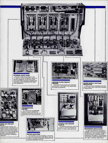